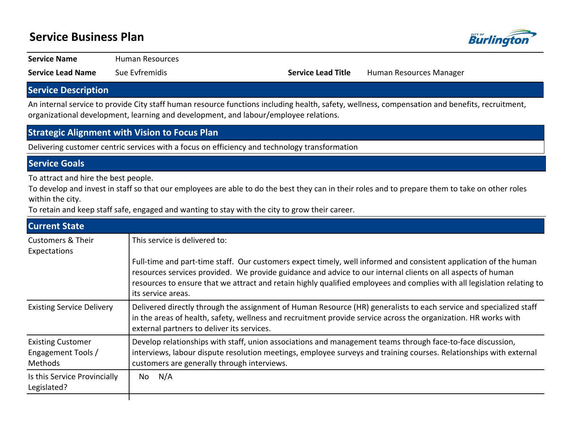## **Service Business Plan**



**Service Name** Human Resources

**Service Lead Name** Sue Evfremidis **Service Lead Title** Human Resources Manager

### **Service Description**

An internal service to provide City staff human resource functions including health, safety, wellness, compensation and benefits, recruitment, organizational development, learning and development, and labour/employee relations.

#### **Strategic Alignment with Vision to Focus Plan**

Delivering customer centric services with a focus on efficiency and technology transformation

#### **Service Goals**

To attract and hire the best people.

To develop and invest in staff so that our employees are able to do the best they can in their roles and to prepare them to take on other roles within the city.

To retain and keep staff safe, engaged and wanting to stay with the city to grow their career.

| <b>Current State</b>             |                                                                                                                                                                                                                                                                                     |
|----------------------------------|-------------------------------------------------------------------------------------------------------------------------------------------------------------------------------------------------------------------------------------------------------------------------------------|
| <b>Customers &amp; Their</b>     | This service is delivered to:                                                                                                                                                                                                                                                       |
| Expectations                     | Full-time and part-time staff. Our customers expect timely, well informed and consistent application of the human                                                                                                                                                                   |
|                                  | resources services provided. We provide guidance and advice to our internal clients on all aspects of human<br>resources to ensure that we attract and retain highly qualified employees and complies with all legislation relating to<br>its service areas.                        |
| <b>Existing Service Delivery</b> | Delivered directly through the assignment of Human Resource (HR) generalists to each service and specialized staff<br>in the areas of health, safety, wellness and recruitment provide service across the organization. HR works with<br>external partners to deliver its services. |
| <b>Existing Customer</b>         | Develop relationships with staff, union associations and management teams through face-to-face discussion,                                                                                                                                                                          |
| Engagement Tools /               | interviews, labour dispute resolution meetings, employee surveys and training courses. Relationships with external                                                                                                                                                                  |
| Methods                          | customers are generally through interviews.                                                                                                                                                                                                                                         |
| Is this Service Provincially     | N/A                                                                                                                                                                                                                                                                                 |
| Legislated?                      | No                                                                                                                                                                                                                                                                                  |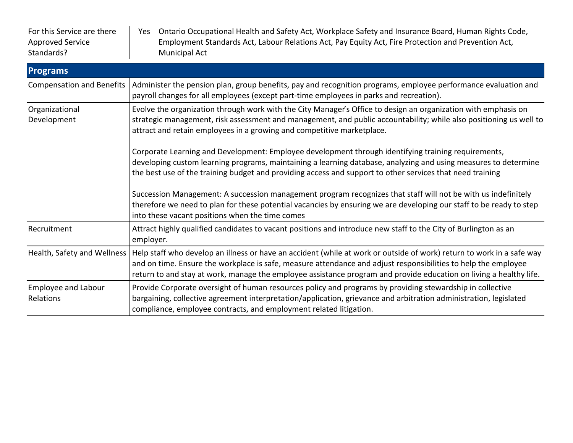| For this Service are there<br><b>Approved Service</b><br>Standards? | Ontario Occupational Health and Safety Act, Workplace Safety and Insurance Board, Human Rights Code,<br>Yes<br>Employment Standards Act, Labour Relations Act, Pay Equity Act, Fire Protection and Prevention Act,<br>Municipal Act                                                                                                                           |
|---------------------------------------------------------------------|---------------------------------------------------------------------------------------------------------------------------------------------------------------------------------------------------------------------------------------------------------------------------------------------------------------------------------------------------------------|
| <b>Programs</b>                                                     |                                                                                                                                                                                                                                                                                                                                                               |
| <b>Compensation and Benefits</b>                                    | Administer the pension plan, group benefits, pay and recognition programs, employee performance evaluation and<br>payroll changes for all employees (except part-time employees in parks and recreation).                                                                                                                                                     |
| Organizational<br>Development                                       | Evolve the organization through work with the City Manager's Office to design an organization with emphasis on<br>strategic management, risk assessment and management, and public accountability; while also positioning us well to<br>attract and retain employees in a growing and competitive marketplace.                                                |
|                                                                     | Corporate Learning and Development: Employee development through identifying training requirements,<br>developing custom learning programs, maintaining a learning database, analyzing and using measures to determine<br>the best use of the training budget and providing access and support to other services that need training                           |
|                                                                     | Succession Management: A succession management program recognizes that staff will not be with us indefinitely<br>therefore we need to plan for these potential vacancies by ensuring we are developing our staff to be ready to step<br>into these vacant positions when the time comes                                                                       |
| Recruitment                                                         | Attract highly qualified candidates to vacant positions and introduce new staff to the City of Burlington as an<br>employer.                                                                                                                                                                                                                                  |
| Health, Safety and Wellness                                         | Help staff who develop an illness or have an accident (while at work or outside of work) return to work in a safe way<br>and on time. Ensure the workplace is safe, measure attendance and adjust responsibilities to help the employee<br>return to and stay at work, manage the employee assistance program and provide education on living a healthy life. |
| <b>Employee and Labour</b><br>Relations                             | Provide Corporate oversight of human resources policy and programs by providing stewardship in collective<br>bargaining, collective agreement interpretation/application, grievance and arbitration administration, legislated<br>compliance, employee contracts, and employment related litigation.                                                          |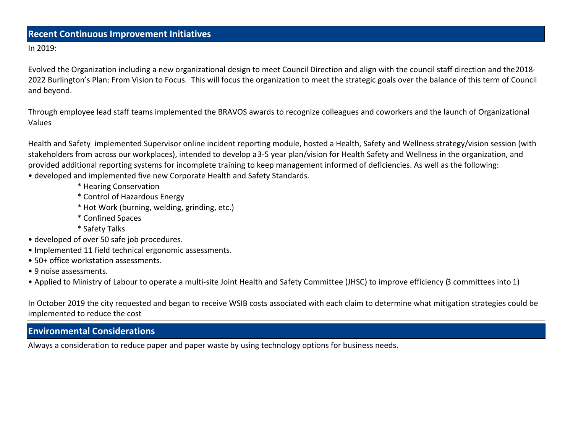#### **Recent Continuous Improvement Initiatives**

In 2019:

Evolved the Organization including a new organizational design to meet Council Direction and align with the council staff direction and the 2018- 2022 Burlington's Plan: From Vision to Focus. This will focus the organization to meet the strategic goals over the balance of this term of Council and beyond.

Through employee lead staff teams implemented the BRAVOS awards to recognize colleagues and coworkers and the launch of Organizational Values

Health and Safety implemented Supervisor online incident reporting module, hosted a Health, Safety and Wellness strategy/vision session (with stakeholders from across our workplaces), intended to develop a 3-5 year plan/vision for Health Safety and Wellness in the organization, and provided additional reporting systems for incomplete training to keep management informed of deficiencies. As well as the following:

- developed and implemented five new Corporate Health and Safety Standards.
	- \* Hearing Conservation
	- \* Control of Hazardous Energy
	- \* Hot Work (burning, welding, grinding, etc.)
	- \* Confined Spaces
	- \* Safety Talks
- developed of over 50 safe job procedures.
- Implemented 11 field technical ergonomic assessments.
- 50+ office workstation assessments.
- 9 noise assessments.
- Applied to Ministry of Labour to operate a multi-site Joint Health and Safety Committee (JHSC) to improve efficiency (3 committees into 1)

In October 2019 the city requested and began to receive WSIB costs associated with each claim to determine what mitigation strategies could be implemented to reduce the cost

## **Environmental Considerations**

Always a consideration to reduce paper and paper waste by using technology options for business needs.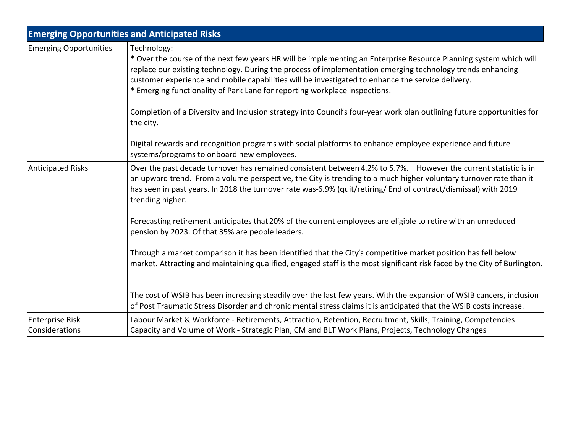|                                          | <b>Emerging Opportunities and Anticipated Risks</b>                                                                                                                                                                                                                                                                                                                                                                               |  |  |  |  |  |
|------------------------------------------|-----------------------------------------------------------------------------------------------------------------------------------------------------------------------------------------------------------------------------------------------------------------------------------------------------------------------------------------------------------------------------------------------------------------------------------|--|--|--|--|--|
| <b>Emerging Opportunities</b>            | Technology:<br>* Over the course of the next few years HR will be implementing an Enterprise Resource Planning system which will<br>replace our existing technology. During the process of implementation emerging technology trends enhancing<br>customer experience and mobile capabilities will be investigated to enhance the service delivery.<br>* Emerging functionality of Park Lane for reporting workplace inspections. |  |  |  |  |  |
|                                          | Completion of a Diversity and Inclusion strategy into Council's four-year work plan outlining future opportunities for<br>the city.                                                                                                                                                                                                                                                                                               |  |  |  |  |  |
|                                          | Digital rewards and recognition programs with social platforms to enhance employee experience and future<br>systems/programs to onboard new employees.                                                                                                                                                                                                                                                                            |  |  |  |  |  |
| <b>Anticipated Risks</b>                 | Over the past decade turnover has remained consistent between 4.2% to 5.7%. However the current statistic is in<br>an upward trend. From a volume perspective, the City is trending to a much higher voluntary turnover rate than it<br>has seen in past years. In 2018 the turnover rate was-6.9% (quit/retiring/ End of contract/dismissal) with 2019<br>trending higher.                                                       |  |  |  |  |  |
|                                          | Forecasting retirement anticipates that 20% of the current employees are eligible to retire with an unreduced<br>pension by 2023. Of that 35% are people leaders.                                                                                                                                                                                                                                                                 |  |  |  |  |  |
|                                          | Through a market comparison it has been identified that the City's competitive market position has fell below<br>market. Attracting and maintaining qualified, engaged staff is the most significant risk faced by the City of Burlington.                                                                                                                                                                                        |  |  |  |  |  |
|                                          | The cost of WSIB has been increasing steadily over the last few years. With the expansion of WSIB cancers, inclusion<br>of Post Traumatic Stress Disorder and chronic mental stress claims it is anticipated that the WSIB costs increase.                                                                                                                                                                                        |  |  |  |  |  |
| <b>Enterprise Risk</b><br>Considerations | Labour Market & Workforce - Retirements, Attraction, Retention, Recruitment, Skills, Training, Competencies<br>Capacity and Volume of Work - Strategic Plan, CM and BLT Work Plans, Projects, Technology Changes                                                                                                                                                                                                                  |  |  |  |  |  |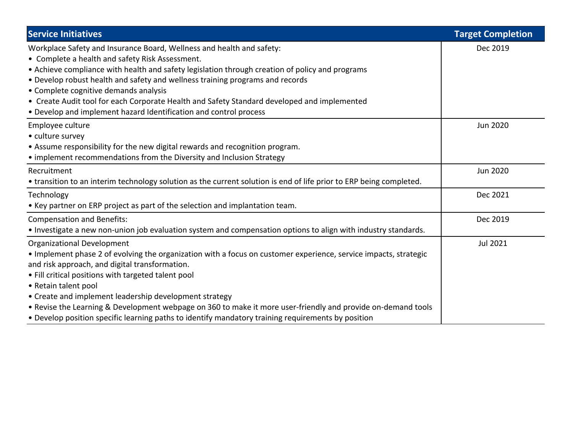| <b>Service Initiatives</b>                                                                                                                                                                                                                                                                                                                                                                                                                                                                                                                                             | <b>Target Completion</b> |
|------------------------------------------------------------------------------------------------------------------------------------------------------------------------------------------------------------------------------------------------------------------------------------------------------------------------------------------------------------------------------------------------------------------------------------------------------------------------------------------------------------------------------------------------------------------------|--------------------------|
| Workplace Safety and Insurance Board, Wellness and health and safety:<br>• Complete a health and safety Risk Assessment.<br>• Achieve compliance with health and safety legislation through creation of policy and programs<br>• Develop robust health and safety and wellness training programs and records<br>• Complete cognitive demands analysis<br>• Create Audit tool for each Corporate Health and Safety Standard developed and implemented<br>• Develop and implement hazard Identification and control process                                              | Dec 2019                 |
| Employee culture<br>• culture survey<br>• Assume responsibility for the new digital rewards and recognition program.<br>• implement recommendations from the Diversity and Inclusion Strategy                                                                                                                                                                                                                                                                                                                                                                          | <b>Jun 2020</b>          |
| Recruitment<br>• transition to an interim technology solution as the current solution is end of life prior to ERP being completed.                                                                                                                                                                                                                                                                                                                                                                                                                                     | Jun 2020                 |
| Technology<br>• Key partner on ERP project as part of the selection and implantation team.                                                                                                                                                                                                                                                                                                                                                                                                                                                                             | Dec 2021                 |
| <b>Compensation and Benefits:</b><br>• Investigate a new non-union job evaluation system and compensation options to align with industry standards.                                                                                                                                                                                                                                                                                                                                                                                                                    | Dec 2019                 |
| <b>Organizational Development</b><br>. Implement phase 2 of evolving the organization with a focus on customer experience, service impacts, strategic<br>and risk approach, and digital transformation.<br>• Fill critical positions with targeted talent pool<br>• Retain talent pool<br>• Create and implement leadership development strategy<br>. Revise the Learning & Development webpage on 360 to make it more user-friendly and provide on-demand tools<br>• Develop position specific learning paths to identify mandatory training requirements by position | Jul 2021                 |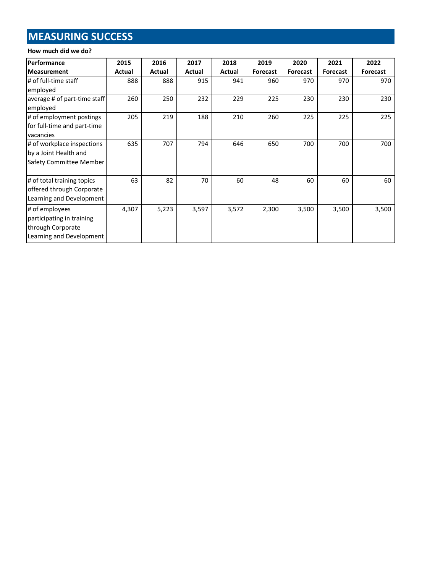# **MEASURING SUCCESS**

#### **How much did we do?**

| Performance                  | 2015   | 2016   | 2017   | 2018   | 2019            | 2020            | 2021            | 2022            |
|------------------------------|--------|--------|--------|--------|-----------------|-----------------|-----------------|-----------------|
| <b>Measurement</b>           | Actual | Actual | Actual | Actual | <b>Forecast</b> | <b>Forecast</b> | <b>Forecast</b> | <b>Forecast</b> |
| # of full-time staff         | 888    | 888    | 915    | 941    | 960             | 970             | 970             | 970             |
| employed                     |        |        |        |        |                 |                 |                 |                 |
| average # of part-time staff | 260    | 250    | 232    | 229    | 225             | 230             | 230             | 230             |
| employed                     |        |        |        |        |                 |                 |                 |                 |
| # of employment postings     | 205    | 219    | 188    | 210    | 260             | 225             | 225             | 225             |
| for full-time and part-time  |        |        |        |        |                 |                 |                 |                 |
| vacancies                    |        |        |        |        |                 |                 |                 |                 |
| # of workplace inspections   | 635    | 707    | 794    | 646    | 650             | 700             | 700             | 700             |
| by a Joint Health and        |        |        |        |        |                 |                 |                 |                 |
| Safety Committee Member      |        |        |        |        |                 |                 |                 |                 |
|                              |        |        |        |        |                 |                 |                 |                 |
| # of total training topics   | 63     | 82     | 70     | 60     | 48              | 60              | 60              | 60              |
| offered through Corporate    |        |        |        |        |                 |                 |                 |                 |
| Learning and Development     |        |        |        |        |                 |                 |                 |                 |
| # of employees               | 4,307  | 5,223  | 3,597  | 3,572  | 2,300           | 3,500           | 3,500           | 3,500           |
| participating in training    |        |        |        |        |                 |                 |                 |                 |
| through Corporate            |        |        |        |        |                 |                 |                 |                 |
| Learning and Development     |        |        |        |        |                 |                 |                 |                 |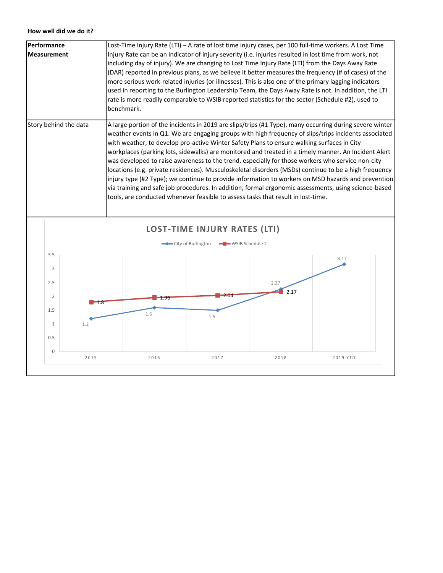#### **How well did we do it?**

| <b>Performance</b>    | Lost-Time Injury Rate (LTI) – A rate of lost time injury cases, per 100 full-time workers. A Lost Time                                                                                                                                                                                                                                                                                                                                                                                                                                                                                                                                                                                                                                                                                                                                                                                                                               |
|-----------------------|--------------------------------------------------------------------------------------------------------------------------------------------------------------------------------------------------------------------------------------------------------------------------------------------------------------------------------------------------------------------------------------------------------------------------------------------------------------------------------------------------------------------------------------------------------------------------------------------------------------------------------------------------------------------------------------------------------------------------------------------------------------------------------------------------------------------------------------------------------------------------------------------------------------------------------------|
| <b>Measurement</b>    | Injury Rate can be an indicator of injury severity (i.e. injuries resulted in lost time from work, not<br>including day of injury). We are changing to Lost Time Injury Rate (LTI) from the Days Away Rate<br>(DAR) reported in previous plans, as we believe it better measures the frequency (# of cases) of the<br>more serious work-related injuries (or illnesses). This is also one of the primary lagging indicators<br>used in reporting to the Burlington Leadership Team, the Days Away Rate is not. In addition, the LTI<br>rate is more readily comparable to WSIB reported statistics for the sector (Schedule #2), used to<br>benchmark.                                                                                                                                                                                                                                                                               |
| Story behind the data | A large portion of the incidents in 2019 are slips/trips (#1 Type), many occurring during severe winter<br>weather events in Q1. We are engaging groups with high frequency of slips/trips incidents associated<br>with weather, to develop pro-active Winter Safety Plans to ensure walking surfaces in City<br>workplaces (parking lots, sidewalks) are monitored and treated in a timely manner. An Incident Alert<br>was developed to raise awareness to the trend, especially for those workers who service non-city<br>locations (e.g. private residences). Musculoskeletal disorders (MSDs) continue to be a high frequency<br>injury type (#2 Type); we continue to provide information to workers on MSD hazards and prevention<br>via training and safe job procedures. In addition, formal ergonomic assessments, using science-based<br>tools, are conducted whenever feasible to assess tasks that result in lost-time. |

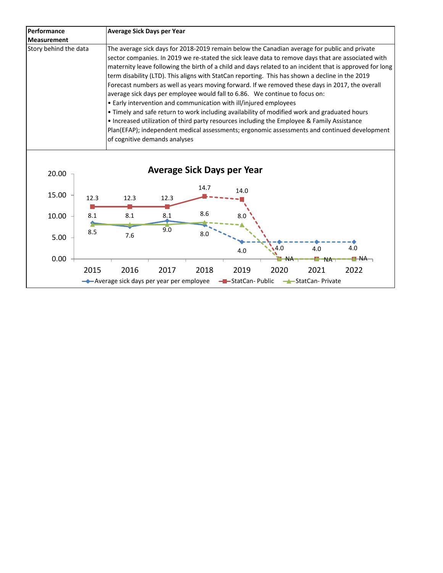